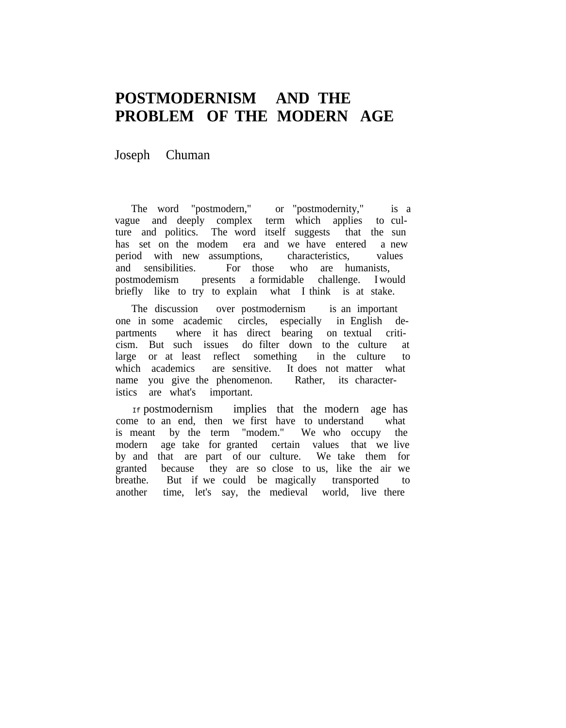## **POSTMODERNISM AND THE PROBLEM OF THE MODERN AGE**

Joseph Chuman

The word "postmodern," or "postmodernity," is a vague and deeply complex term which applies to culture and politics. The word itself suggests that the sun has set on the modem era and we have entered a new period with new assumptions, characteristics, values and sensibilities. For those who are humanists, postmodemism presents a formidable challenge. I would briefly like to try to explain what I think is at stake.

The discussion over postmodernism is an important one in some academic circles, especially in English departments where it has direct bearing on textual criticism. But such issues do filter down to the culture at large or at least reflect something in the culture to which academics are sensitive. It does not matter what name you give the phenomenon. Rather, its characteristics are what's important.

If postmodernism implies that the modern age has come to an end, then we first have to understand what is meant by the term "modem." We who occupy the modern age take for granted certain values that we live by and that are part of our culture. We take them for granted because they are so close to us, like the air we breathe. But if we could be magically transported to another time, let's say, the medieval world, live there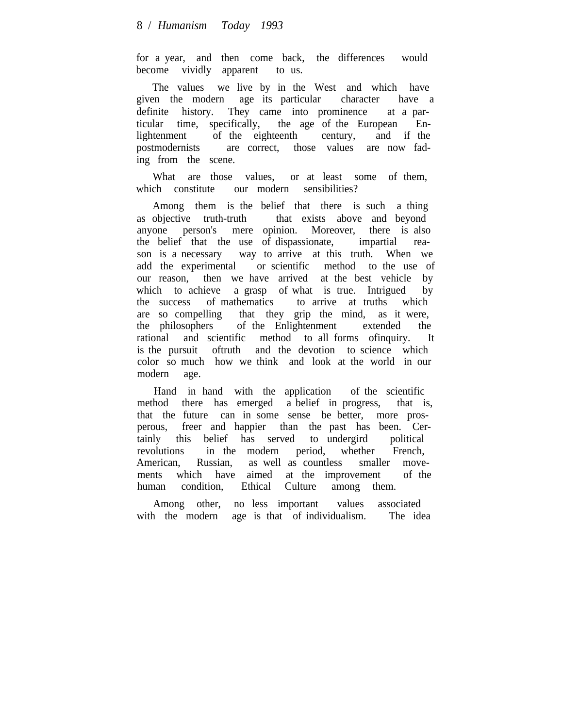for a year, and then come back, the differences would become vividly apparent to us.

The values we live by in the West and which have given the modern age its particular character have a definite history. They came into prominence at a particular time, specifically, the age of the European Enlightenment of the eighteenth century, and if the postmodernists are correct, those values are now fading from the scene.

What are those values, or at least some of them, which constitute our modern sensibilities?

Among them is the belief that there is such a thing as objective truth-truth that exists above and beyond anyone person's mere opinion. Moreover, there is also the belief that the use of dispassionate, impartial reason is a necessary way to arrive at this truth. When we add the experimental or scientific method to the use of our reason, then we have arrived at the best vehicle by which to achieve a grasp of what is true. Intrigued by the success of mathematics to arrive at truths which are so compelling that they grip the mind, as it were, the philosophers of the Enlightenment extended the rational and scientific method to all forms ofinquiry. It is the pursuit oftruth and the devotion to science which color so much how we think and look at the world in our modern age.

Hand in hand with the application of the scientific method there has emerged a belief in progress, that is, that the future can in some sense be better, more prosperous, freer and happier than the past has been. Certainly this belief has served to undergird political revolutions in the modern period, whether French, American, Russian, as well as countless smaller movements which have aimed at the improvement of the human condition, Ethical Culture among them.

Among other, no less important values associated with the modern age is that of individualism. The idea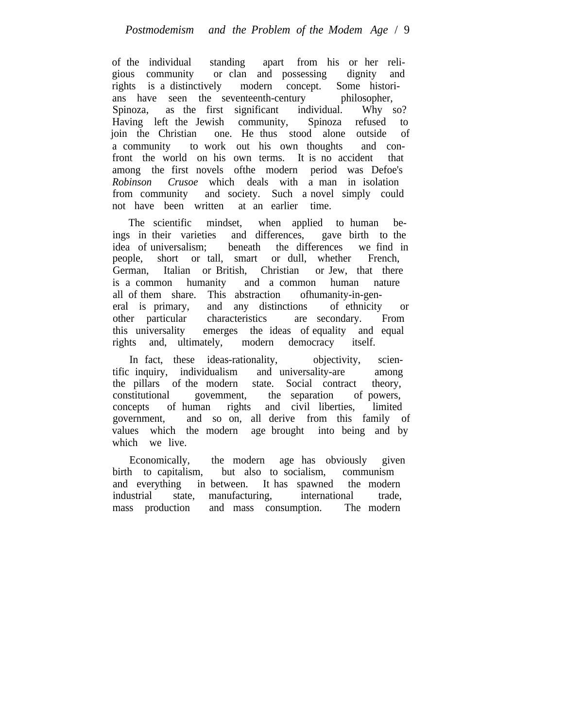of the individual standing apart from his or her religious community or clan and possessing dignity and rights is a distinctively modern concept. Some historians have seen the seventeenth-century philosopher, Spinoza, as the first significant individual. Why so? Having left the Jewish community, Spinoza refused to join the Christian one. He thus stood alone outside of a community to work out his own thoughts and confront the world on his own terms. It is no accident that among the first novels ofthe modern period was Defoe's *Robinson Crusoe* which deals with a man in isolation from community and society. Such a novel simply could not have been written at an earlier time.

The scientific mindset, when applied to human beings in their varieties and differences, gave birth to the idea of universalism; beneath the differences we find in people, short or tall, smart or dull, whether French, German, Italian or British, Christian or Jew, that there is a common humanity and a common human nature all of them share. This abstraction ofhumanity-in-general is primary, and any distinctions of ethnicity or other particular characteristics are secondary. From this universality emerges the ideas of equality and equal rights and, ultimately, modern democracy itself.

In fact, these ideas-rationality, objectivity, scientific inquiry, individualism and universality-are among the pillars of the modern state. Social contract theory, constitutional govemment, the separation of powers, concepts of human rights and civil liberties, limited government, and so on, all derive from this family of values which the modern age brought into being and by which we live.

Economically, the modern age has obviously given birth to capitalism, but also to socialism, communism and everything in between. It has spawned the modern industrial state, manufacturing, international trade, mass production and mass consumption. The modern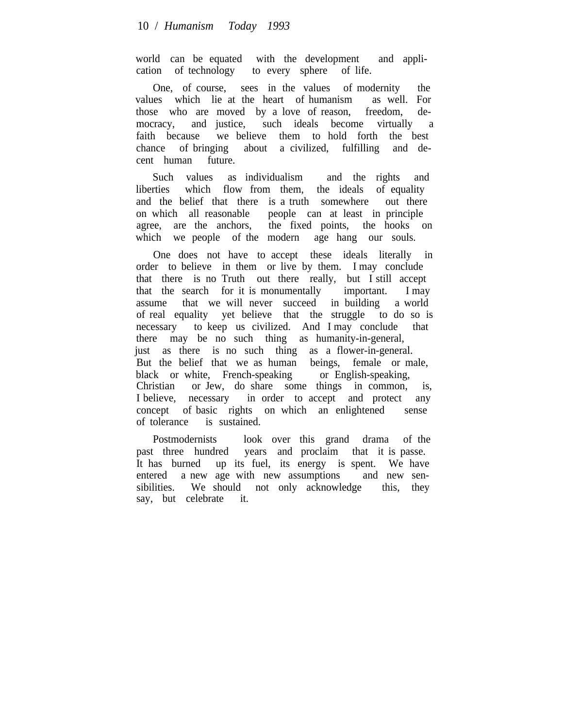world can be equated with the development and application of technology to every sphere of life.

One, of course, sees in the values of modernity the values which lie at the heart of humanism as well. For those who are moved by a love of reason, freedom, democracy, and justice, such ideals become virtually a faith because we believe them to hold forth the best chance of bringing about a civilized, fulfilling and decent human future.

Such values as individualism and the rights and liberties which flow from them, the ideals of equality and the belief that there is a truth somewhere out there on which all reasonable people can at least in principle agree, are the anchors, the fixed points, the hooks on which we people of the modern age hang our souls.

One does not have to accept these ideals literally in order to believe in them or live by them. I may conclude that there is no Truth out there really, but I still accept that the search for it is monumentally important. I may assume that we will never succeed in building a world of real equality yet believe that the struggle to do so is necessary to keep us civilized. And I may conclude that there may be no such thing as humanity-in-general, just as there is no such thing as a flower-in-general. But the belief that we as human beings, female or male, black or white, French-speaking or English-speaking, Christian or Jew, do share some things in common, is, I believe, necessary in order to accept and protect any concept of basic rights on which an enlightened sense of tolerance is sustained.

Postmodernists look over this grand drama of the past three hundred years and proclaim that it is passe. It has burned up its fuel, its energy is spent. We have entered a new age with new assumptions and new sensibilities. We should not only acknowledge this, they say, but celebrate it.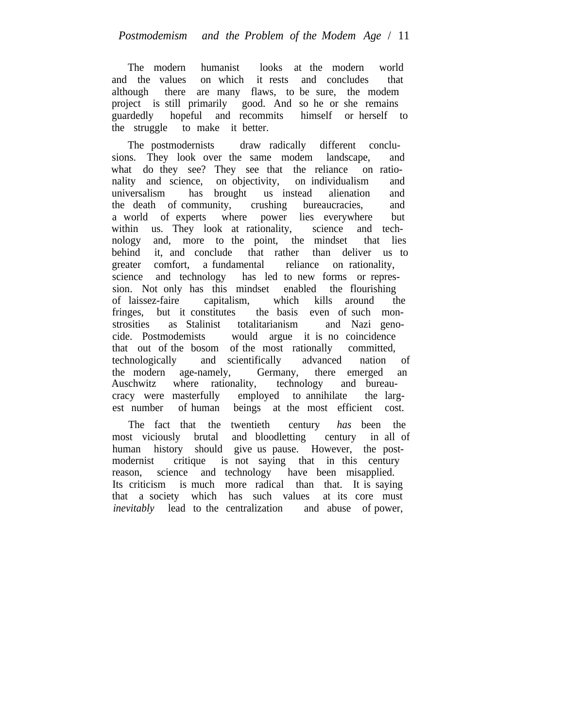The modern humanist looks at the modern world and the values on which it rests and concludes that although there are many flaws, to be sure, the modem project is still primarily good. And so he or she remains guardedly hopeful and recommits himself or herself to the struggle to make it better.

The postmodernists draw radically different conclusions. They look over the same modem landscape, and what do they see? They see that the reliance on rationality and science, on objectivity, on individualism and universalism has brought us instead alienation and the death of community, crushing bureaucracies, and a world of experts where power lies everywhere but within us. They look at rationality, science and technology and, more to the point, the mindset that lies behind it, and conclude that rather than deliver us to greater comfort, a fundamental reliance on rationality, science and technology has led to new forms or repression. Not only has this mindset enabled the flourishing of laissez-faire capitalism, which kills around the fringes, but it constitutes the basis even of such monstrosities as Stalinist totalitarianism and Nazi genocide. Postmodemists would argue it is no coincidence that out of the bosom of the most rationally committed, technologically and scientifically advanced nation of the modern age-namely, Germany, there emerged an Auschwitz where rationality, technology and bureaucracy were masterfully employed to annihilate the largest number of human beings at the most efficient cost.

The fact that the twentieth century *has* been the most viciously brutal and bloodletting century in all of human history should give us pause. However, the postmodernist critique is not saying that in this century reason, science and technology have been misapplied. Its criticism is much more radical than that. It is saying that a society which has such values at its core must *inevitably* lead to the centralization and abuse of power,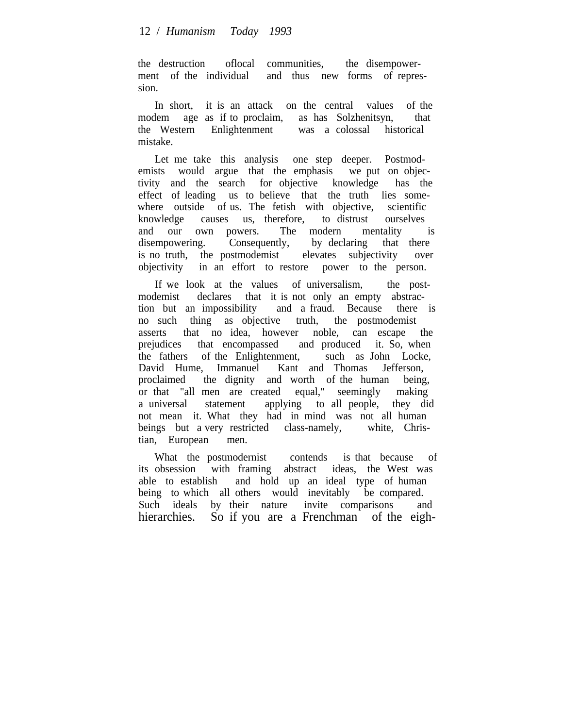the destruction oflocal communities, the disempowerment of the individual and thus new forms of repression.

In short, it is an attack on the central values of the modem age as if to proclaim, as has Solzhenitsyn, that the Western Enlightenment was a colossal historical mistake.

Let me take this analysis one step deeper. Postmodemists would argue that the emphasis we put on objectivity and the search for objective knowledge has the effect of leading us to believe that the truth lies somewhere outside of us. The fetish with objective, scientific knowledge causes us, therefore, to distrust ourselves and our own powers. The modern mentality is disempowering. Consequently, by declaring that there is no truth, the postmodemist elevates subjectivity over objectivity in an effort to restore power to the person.

If we look at the values of universalism, the postmodemist declares that it is not only an empty abstraction but an impossibility and a fraud. Because there is no such thing as objective truth, the postmodemist asserts that no idea, however noble, can escape the prejudices that encompassed and produced it. So, when the fathers of the Enlightenment, such as John Locke, David Hume, Immanuel Kant and Thomas Jefferson, proclaimed the dignity and worth of the human being, or that "all men are created equal," seemingly making a universal statement applying to all people, they did not mean it. What they had in mind was not all human beings but a very restricted class-namely, white, Christian, European men.

What the postmodernist contends is that because of its obsession with framing abstract ideas, the West was able to establish and hold up an ideal type of human being to which all others would inevitably be compared. Such ideals by their nature invite comparisons and hierarchies. So if you are a Frenchman of the eigh-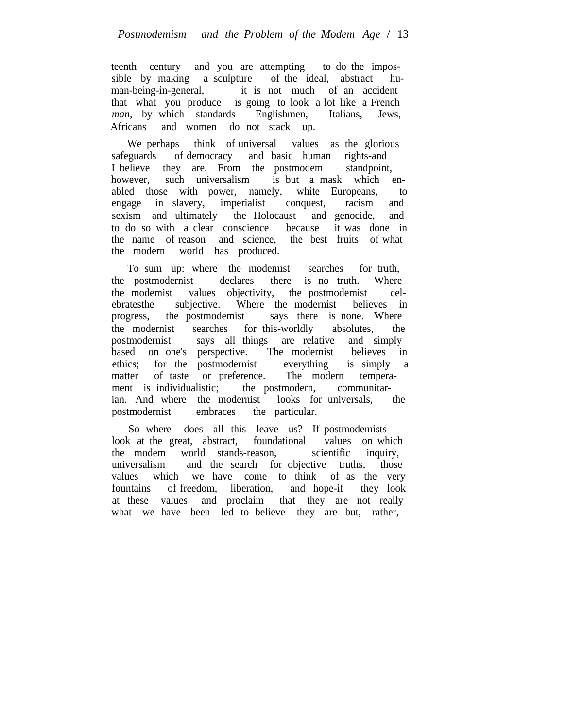teenth century and you are attempting to do the impossible by making a sculpture of the ideal, abstract human-being-in-general, it is not much of an accident that what you produce is going to look a lot like a French *man,* by which standards Englishmen, Italians, Jews, Africans and women do not stack up.

We perhaps think of universal values as the glorious safeguards of democracy and basic human rights-and I believe they are. From the postmodem standpoint,<br>however, such universalism is but a mask which of however, such universalism is but a mask which enabled those with power, namely, white Europeans, to engage in slavery, imperialist conquest, racism and sexism and ultimately the Holocaust and genocide, and to do so with a clear conscience because it was done in the name of reason and science, the best fruits of what the modern world has produced.

To sum up: where the modemist searches for truth, the postmodernist declares there is no truth. Where the modemist values objectivity, the postmodemist celebratesthe subjective. Where the modernist believes in progress, the postmodemist says there is none. Where the modernist searches for this-worldly absolutes, the postmodernist says all things are relative and simply based on one's perspective. The modernist believes in ethics; for the postmodernist everything is simply a matter of taste or preference. The modern temperament is individualistic; the postmodern, communitarian. And where the modernist looks for universals, the postmodernist embraces the particular.

So where does all this leave us? If postmodemists look at the great, abstract, foundational values on which the modem world stands-reason, scientific inquiry, universalism and the search for objective truths, those values which we have come to think of as the very fountains of freedom, liberation, and hope-if they look at these values and proclaim that they are not really what we have been led to believe they are but, rather,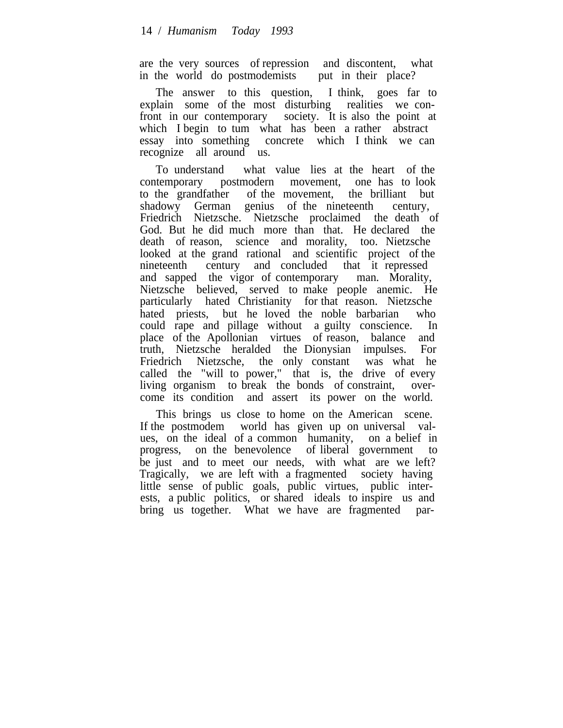are the very sources of repression and discontent, what in the world do postmodemists put in their place?

The answer to this question, I think, goes far to explain some of the most disturbing realities we confront in our contemporary society. It is also the point at which I begin to tum what has been a rather abstract essay into something concrete which I think we can recognize all around us.

To understand what value lies at the heart of the contemporary postmodern movement, one has to look to the grandfather of the movement, the brilliant but shadowy German genius of the nineteenth century, Friedrich Nietzsche. Nietzsche proclaimed the death of God. But he did much more than that. He declared the death of reason, science and morality, too. Nietzsche looked at the grand rational and scientific project of the nineteenth century and concluded that it repressed and sapped the vigor of contemporary man. Morality, Nietzsche believed, served to make people anemic. He particularly hated Christianity for that reason. Nietzsche hated priests, but he loved the noble barbarian who could rape and pillage without a guilty conscience. In place of the Apollonian virtues of reason, balance and truth, Nietzsche heralded the Dionysian impulses. For Friedrich Nietzsche, the only constant was what he called the "will to power," that is, the drive of every living organism to break the bonds of constraint, overcome its condition and assert its power on the world.

This brings us close to home on the American scene. If the postmodem world has given up on universal values, on the ideal of a common humanity, on a belief in progress, on the benevolence of liberal government to be just and to meet our needs, with what are we left? Tragically, we are left with a fragmented society having little sense of public goals, public virtues, public interests, a public politics, or shared ideals to inspire us and bring us together. What we have are fragmented par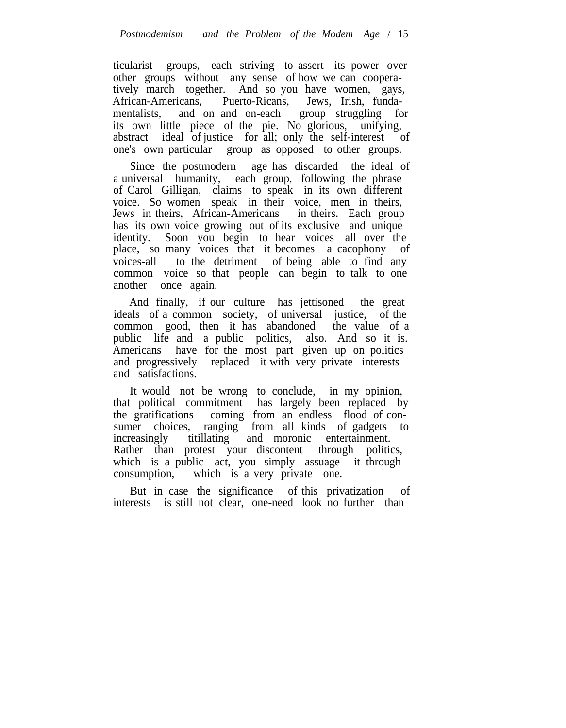ticularist groups, each striving to assert its power over other groups without any sense of how we can cooperatively march together. And so you have women, gays, African-Americans, Puerto-Ricans, Jews, Irish, fundamentalists, and on and on-each group struggling for its own little piece of the pie. No glorious, unifying, abstract ideal of justice for all; only the self-interest of one's own particular group as opposed to other groups.

Since the postmodern age has discarded the ideal of a universal humanity, each group, following the phrase of Carol Gilligan, claims to speak in its own different voice. So women speak in their voice, men in theirs, Jews in theirs, African-Americans in theirs. Each group has its own voice growing out of its exclusive and unique identity. Soon you begin to hear voices all over the place, so many voices that it becomes a cacophony of voices-all to the detriment of being able to find any common voice so that people can begin to talk to one another once again.

And finally, if our culture has jettisoned the great ideals of a common society, of universal justice, of the common good, then it has abandoned the value of a public life and a public politics, also. And so it is. Americans have for the most part given up on politics and progressively replaced it with very private interests and satisfactions.

It would not be wrong to conclude, in my opinion, that political commitment has largely been replaced by the gratifications coming from an endless flood of consumer choices, ranging from all kinds of gadgets to increasingly titillating and moronic entertainment. Rather than protest your discontent through politics, which is a public act, you simply assuage it through consumption, which is a very private one.

But in case the significance of this privatization of interests is still not clear, one-need look no further than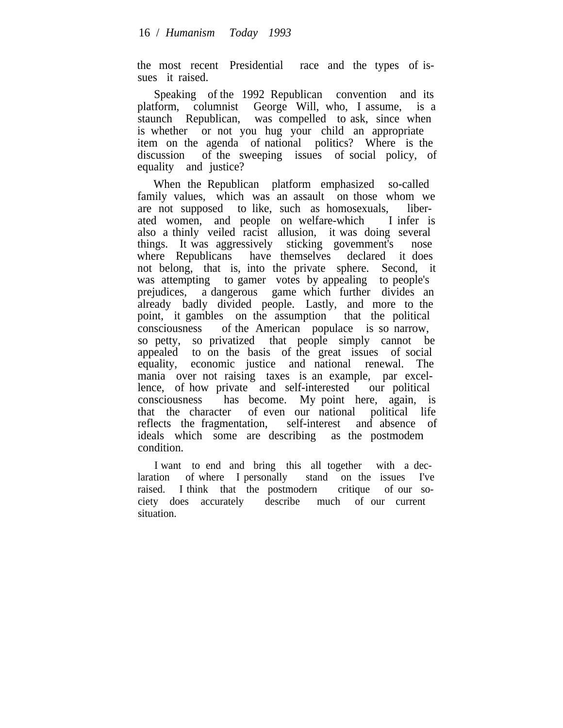the most recent Presidential race and the types of issues it raised.

Speaking of the 1992 Republican convention and its platform, columnist George Will, who, I assume, is a staunch Republican, was compelled to ask, since when is whether or not you hug your child an appropriate item on the agenda of national politics? Where is the discussion of the sweeping issues of social policy, of equality and justice?

When the Republican platform emphasized so-called family values, which was an assault on those whom we are not supposed to like, such as homosexuals, liberated women, and people on welfare-which I infer is also a thinly veiled racist allusion, it was doing several things. It was aggressively sticking govemment's nose where Republicans have themselves declared it does not belong, that is, into the private sphere. Second, it was attempting to gamer votes by appealing to people's prejudices, a dangerous game which further divides an already badly divided people. Lastly, and more to the point, it gambles on the assumption that the political consciousness of the American populace is so narrow, so petty, so privatized that people simply cannot be appealed to on the basis of the great issues of social equality, economic justice and national renewal. The economic justice and national renewal. The mania over not raising taxes is an example, par excellence, of how private and self-interested our political consciousness has become. My point here, again, is that the character of even our national political life reflects the fragmentation, self-interest and absence of ideals which some are describing as the postmodem condition.

I want to end and bring this all together with a declaration of where I personally stand on the issues I've raised. I think that the postmodern critique of our society does accurately describe much of our current situation.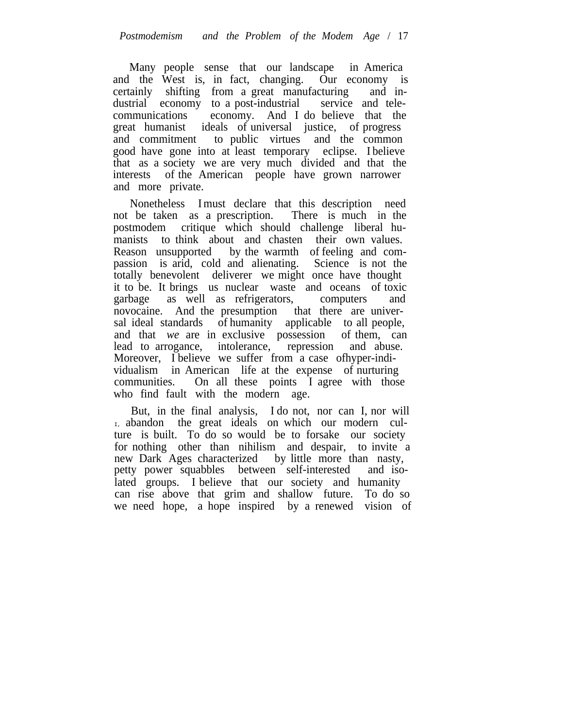Many people sense that our landscape in America and the West is, in fact, changing. Our economy is certainly shifting from a great manufacturing and industrial economy to a post-industrial service and telecommunications economy. And I do believe that the great humanist ideals of universal justice, of progress and commitment to public virtues and the common good have gone into at least temporary eclipse. I believe that as a society we are very much divided and that the interests of the American people have grown narrower and more private.

Nonetheless Imust declare that this description need not be taken as a prescription. There is much in the postmodem critique which should challenge liberal humanists to think about and chasten their own values. Reason unsupported by the warmth of feeling and compassion is arid, cold and alienating. Science is not the totally benevolent deliverer we might once have thought it to be. It brings us nuclear waste and oceans of toxic garbage as well as refrigerators, computers and novocaine. And the presumption that there are universal ideal standards of humanity applicable to all people, and that *we* are in exclusive possession of them, can lead to arrogance, intolerance, repression and abuse. Moreover, I believe we suffer from a case of hyper-individualism in American life at the expense of nurturing communities. On all these points I agree with those who find fault with the modern age.

But, in the final analysis, I do not, nor can I, nor will I, abandon the great ideals on which our modern culture is built. To do so would be to forsake our society for nothing other than nihilism and despair, to invite a new Dark Ages characterized by little more than nasty, petty power squabbles between self-interested and isolated groups. I believe that our society and humanity can rise above that grim and shallow future. To do so we need hope, a hope inspired by a renewed vision of